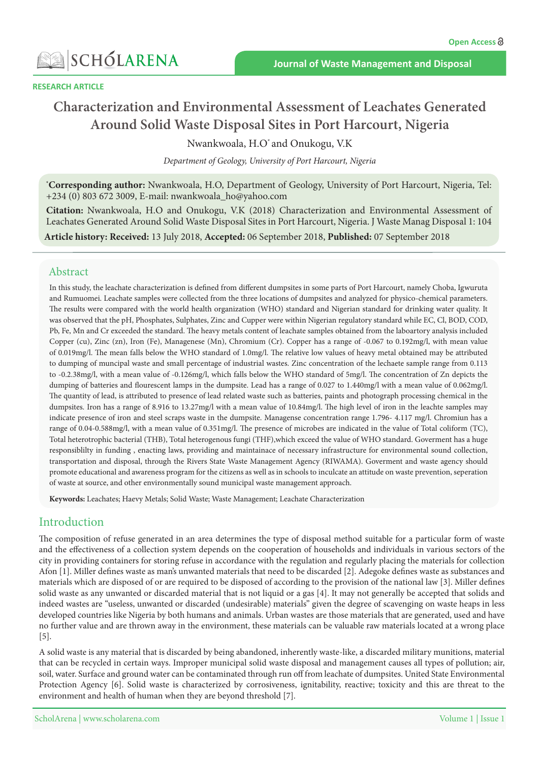

# **Characterization and Environmental Assessment of Leachates Generated** Around Solid Waste Disposal Sites in Port Harcourt, Nigeria

Nwankwoala, H.O' and Onukogu, V.K

Department of Geology, University of Port Harcourt, Nigeria

\*Corresponding author: Nwankwoala, H.O, Department of Geology, University of Port Harcourt, Nigeria, Tel: +234 (0) 803 672 3009, E-mail: nwankwoala\_ho@yahoo.com

**Citation:** Nwankwoala, H.O and Onukogu, V.K (2018) Characterization and Environmental Assessment of Leachates Generated Around Solid Waste Disposal Sites in Port Harcourt, Nigeria. J Waste Manag Disposal 1: 104

Article history: Received: 13 July 2018, Accepted: 06 September 2018, Published: 07 September 2018

#### Abstract

In this study, the leachate characterization is defined from different dumpsites in some parts of Port Harcourt, namely Choba, Igwuruta and Rumuomei. Leachate samples were collected from the three locations of dumpsites and analyzed for physico-chemical parameters. The results were compared with the world health organization (WHO) standard and Nigerian standard for drinking water quality. It was observed that the pH, Phosphates, Sulphates, Zinc and Cupper were within Nigerian regulatory standard while EC, Cl, BOD, COD, Pb, Fe, Mn and Cr exceeded the standard. The heavy metals content of leachate samples obtained from the laboartory analysis included Copper (cu), Zinc (zn), Iron (Fe), Managenese (Mn), Chromium (Cr). Copper has a range of -0.067 to 0.192mg/l, with mean value of 0.019 mg/l. The mean falls below the WHO standard of 1.0 mg/l. The relative low values of heavy metal obtained may be attributed to dumping of muncipal waste and small percentage of industrial wastes. Zinc concentration of the lechaete sample range from 0.113 to -0.2.38 mg/l, with a mean value of -0.126 mg/l, which falls below the WHO standard of 5 mg/l. The concentration of Zn depicts the dumping of batteries and flourescent lamps in the dumpsite. Lead has a range of 0.027 to 1.440 mg/l with a mean value of 0.062 mg/l. The quantity of lead, is attributed to presence of lead related waste such as batteries, paints and photograph processing chemical in the dumpsites. Iron has a range of 8.916 to 13.27 mg/l with a mean value of 10.84 mg/l. The high level of iron in the leachte samples may indicate presence of iron and steel scraps waste in the dumpsite. Managense concentration range 1.796- 4.117 mg/l. Chromiun has a range of 0.04-0.588 mg/l, with a mean value of 0.351 mg/l. The presence of microbes are indicated in the value of Total coliform (TC), Total heterotrophic bacterial (THB), Total heterogenous fungi (THF), which exceed the value of WHO standard. Goverment has a huge responsiblilty in funding, enacting laws, providing and maintainace of necessary infrastructure for environmental sound collection, transportation and disposal, through the Rivers State Waste Management Agency (RIWAMA). Goverment and waste agency should promote educational and awareness program for the citizens as well as in schools to inculcate an attitude on waste prevention, seperation of waste at source, and other environmentally sound municipal waste management approach.

Keywords: Leachates; Haevy Metals; Solid Waste; Waste Management; Leachate Characterization

### Introduction

The composition of refuse generated in an area determines the type of disposal method suitable for a particular form of waste and the effectiveness of a collection system depends on the cooperation of households and individuals in various sectors of the city in providing containers for storing refuse in accordance with the regulation and regularly placing the materials for collection Afon [1]. Miller defines waste as man's unwanted materials that need to be discarded [2]. Adegoke defines waste as substances and materials which are disposed of or are required to be disposed of according to the provision of the national law [3]. Miller defines solid waste as any unwanted or discarded material that is not liquid or a gas [4]. It may not generally be accepted that solids and indeed wastes are "useless, unwanted or discarded (undesirable) materials" given the degree of scavenging on waste heaps in less developed countries like Nigeria by both humans and animals. Urban wastes are those materials that are generated, used and have no further value and are thrown away in the environment, these materials can be valuable raw materials located at a wrong place  $[5]$ .

A solid waste is any material that is discarded by being abandoned, inherently waste-like, a discarded military munitions, material that can be recycled in certain ways. Improper municipal solid waste disposal and management causes all types of pollution; air, soil, water. Surface and ground water can be contaminated through run off from leachate of dumpsites. United State Environmental Protection Agency [6]. Solid waste is characterized by corrosiveness, ignitability, reactive; toxicity and this are threat to the environment and health of human when they are beyond threshold [7].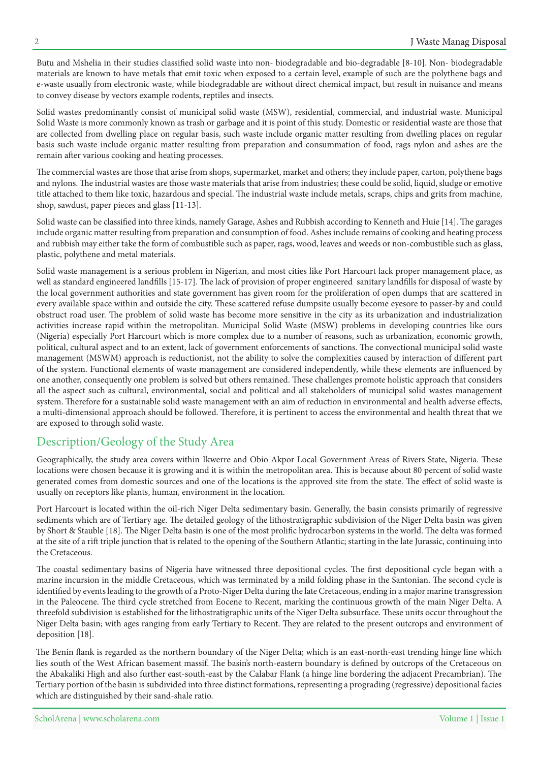Butu and Mshelia in their studies classified solid waste into non-biodegradable and bio-degradable [8-10]. Non-biodegradable materials are known to have metals that emit toxic when exposed to a certain level, example of such are the polythene bags and e-waste usually from electronic waste, while biodegradable are without direct chemical impact, but result in nuisance and means to convey disease by vectors example rodents, reptiles and insects.

Solid wastes predominantly consist of municipal solid waste (MSW), residential, commercial, and industrial waste. Municipal Solid Waste is more commonly known as trash or garbage and it is point of this study. Domestic or residential waste are those that are collected from dwelling place on regular basis, such waste include organic matter resulting from dwelling places on regular basis such waste include organic matter resulting from preparation and consummation of food, rags nylon and ashes are the remain after various cooking and heating processes.

The commercial wastes are those that arise from shops, supermarket, market and others; they include paper, carton, polythene bags and nylons. The industrial wastes are those waste materials that arise from industries; these could be solid, liquid, sludge or emotive title attached to them like toxic, hazardous and special. The industrial waste include metals, scraps, chips and grits from machine, shop, sawdust, paper pieces and glass  $[11-13]$ .

Solid waste can be classified into three kinds, namely Garage, Ashes and Rubbish according to Kenneth and Huie [14]. The garages include organic matter resulting from preparation and consumption of food. Ashes include remains of cooking and heating process and rubbish may either take the form of combustible such as paper, rags, wood, leaves and weeds or non-combustible such as glass, plastic, polythene and metal materials.

Solid waste management is a serious problem in Nigerian, and most cities like Port Harcourt lack proper management place, as well as standard engineered landfills [15-17]. The lack of provision of proper engineered sanitary landfills for disposal of waste by the local government authorities and state government has given room for the proliferation of open dumps that are scattered in every available space within and outside the city. These scattered refuse dumpsite usually become eyesore to passer-by and could obstruct road user. The problem of solid waste has become more sensitive in the city as its urbanization and industrialization activities increase rapid within the metropolitan. Municipal Solid Waste (MSW) problems in developing countries like ours (Nigeria) especially Port Harcourt which is more complex due to a number of reasons, such as urbanization, economic growth, political, cultural aspect and to an extent, lack of government enforcements of sanctions. The convectional municipal solid waste management (MSWM) approach is reductionist, not the ability to solve the complexities caused by interaction of different part of the system. Functional elements of waste management are considered independently, while these elements are influenced by one another, consequently one problem is solved but others remained. These challenges promote holistic approach that considers all the aspect such as cultural, environmental, social and political and all stakeholders of municipal solid wastes management system. Therefore for a sustainable solid waste management with an aim of reduction in environmental and health adverse effects, a multi-dimensional approach should be followed. Therefore, it is pertinent to access the environmental and health threat that we are exposed to through solid waste.

# Description/Geology of the Study Area

Geographically, the study area covers within Ikwerre and Obio Akpor Local Government Areas of Rivers State, Nigeria. These locations were chosen because it is growing and it is within the metropolitan area. This is because about 80 percent of solid waste generated comes from domestic sources and one of the locations is the approved site from the state. The effect of solid waste is usually on receptors like plants, human, environment in the location.

Port Harcourt is located within the oil-rich Niger Delta sedimentary basin. Generally, the basin consists primarily of regressive sediments which are of Tertiary age. The detailed geology of the lithostratigraphic subdivision of the Niger Delta basin was given by Short & Stauble [18]. The Niger Delta basin is one of the most prolific hydrocarbon systems in the world. The delta was formed at the site of a rift triple junction that is related to the opening of the Southern Atlantic; starting in the late Jurassic, continuing into the Cretaceous

The coastal sedimentary basins of Nigeria have witnessed three depositional cycles. The first depositional cycle began with a marine incursion in the middle Cretaceous, which was terminated by a mild folding phase in the Santonian. The second cycle is identified by events leading to the growth of a Proto-Niger Delta during the late Cretaceous, ending in a major marine transgression in the Paleocene. The third cycle stretched from Eocene to Recent, marking the continuous growth of the main Niger Delta. A threefold subdivision is established for the lithostratigraphic units of the Niger Delta subsurface. These units occur throughout the Niger Delta basin; with ages ranging from early Tertiary to Recent. They are related to the present outcrops and environment of deposition [18].

The Benin flank is regarded as the northern boundary of the Niger Delta; which is an east-north-east trending hinge line which lies south of the West African basement massif. The basin's north-eastern boundary is defined by outcrops of the Cretaceous on the Abakaliki High and also further east-south-east by the Calabar Flank (a hinge line bordering the adjacent Precambrian). The Tertiary portion of the basin is subdivided into three distinct formations, representing a prograding (regressive) depositional facies which are distinguished by their sand-shale ratio.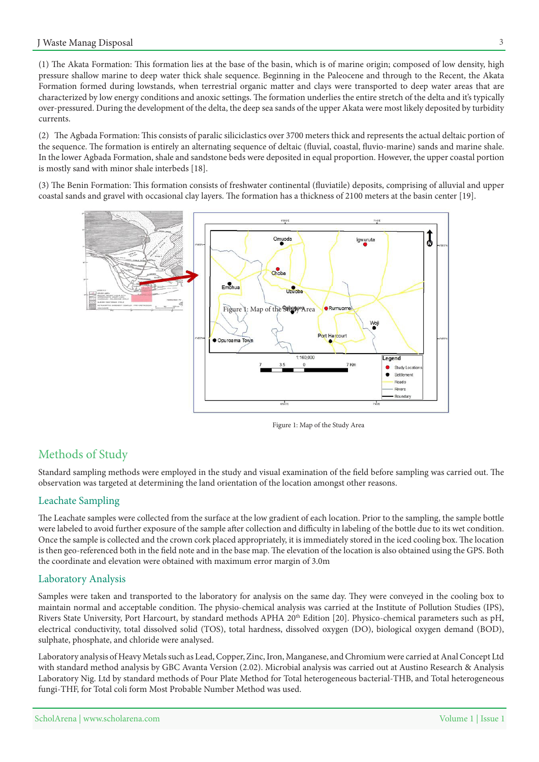(1) The Akata Formation: This formation lies at the base of the basin, which is of marine origin; composed of low density, high pressure shallow marine to deep water thick shale sequence. Beginning in the Paleocene and through to the Recent, the Akata Formation formed during lowstands, when terrestrial organic matter and clays were transported to deep water areas that are characterized by low energy conditions and anoxic settings. The formation underlies the entire stretch of the delta and it's typically over-pressured. During the development of the delta, the deep sea sands of the upper Akata were most likely deposited by turbidity .currents

(2) The Agbada Formation: This consists of paralic siliciclastics over 3700 meters thick and represents the actual deltaic portion of the sequence. The formation is entirely an alternating sequence of deltaic (fluvial, coastal, fluvio-marine) sands and marine shale. In the lower Agbada Formation, shale and sandstone beds were deposited in equal proportion. However, the upper coastal portion is mostly sand with minor shale interbeds [18].

(3) The Benin Formation: This formation consists of freshwater continental (fluviatile) deposits, comprising of alluvial and upper coastal sands and gravel with occasional clay layers. The formation has a thickness of 2100 meters at the basin center [19].



Figure 1: Map of the Study Area

# Methods of Study

Standard sampling methods were employed in the study and visual examination of the field before sampling was carried out. The observation was targeted at determining the land orientation of the location amongst other reasons.

### Leachate Sampling

The Leachate samples were collected from the surface at the low gradient of each location. Prior to the sampling, the sample bottle were labeled to avoid further exposure of the sample after collection and difficulty in labeling of the bottle due to its wet condition. Once the sample is collected and the crown cork placed appropriately, it is immediately stored in the iced cooling box. The location is then geo-referenced both in the field note and in the base map. The elevation of the location is also obtained using the GPS. Both the coordinate and elevation were obtained with maximum error margin of 3.0m

#### Laboratory Analysis

Samples were taken and transported to the laboratory for analysis on the same day. They were conveyed in the cooling box to maintain normal and acceptable condition. The physio-chemical analysis was carried at the Institute of Pollution Studies (IPS), Rivers State University, Port Harcourt, by standard methods APHA 20<sup>th</sup> Edition [20]. Physico-chemical parameters such as pH, electrical conductivity, total dissolved solid (TOS), total hardness, dissolved oxygen (DO), biological oxygen demand (BOD), sulphate, phosphate, and chloride were analysed.

Laboratory analysis of Heavy Metals such as Lead, Copper, Zinc, Iron, Manganese, and Chromium were carried at Anal Concept Ltd with standard method analysis by GBC Avanta Version (2.02). Microbial analysis was carried out at Austino Research & Analysis Laboratory Nig. Ltd by standard methods of Pour Plate Method for Total heterogeneous bacterial-THB, and Total heterogeneous fungi-THF, for Total coli form Most Probable Number Method was used.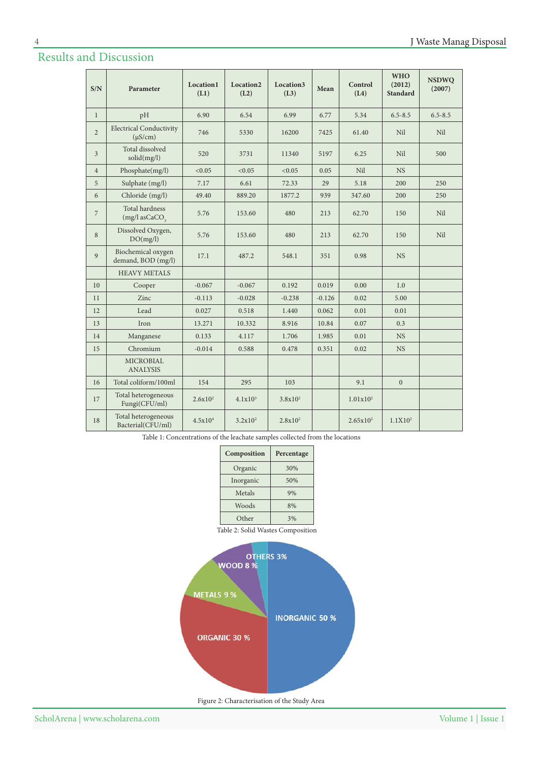# Results and Discussion

| S/N            | Parameter                                              | <b>Location1</b><br>(L1) | Location <sub>2</sub><br>(L2) | Location3<br>(L3) | Mean     | Control<br>(L4) | <b>WHO</b><br>(2012)<br><b>Standard</b> | <b>NSDWQ</b><br>(2007) |
|----------------|--------------------------------------------------------|--------------------------|-------------------------------|-------------------|----------|-----------------|-----------------------------------------|------------------------|
| $\mathbf{1}$   | pH                                                     | 6.90                     | 6.54                          | 6.99              | 6.77     | 5.34            | $6.5 - 8.5$                             | $6.5 - 8.5$            |
| $\overline{2}$ | <b>Electrical Conductivity</b><br>$(\mu S/cm)$         | 746                      | 5330                          | 16200             | 7425     | 61.40           | Nil                                     | Nil                    |
| $\overline{3}$ | Total dissolved<br>solid(mg/l)                         | 520                      | 3731                          | 11340             | 5197     | 6.25            | Nil                                     | 500                    |
| $\overline{4}$ | Phosphate(mg/l)                                        | < 0.05                   | < 0.05                        | < 0.05            | 0.05     | Nil             | <b>NS</b>                               |                        |
| 5              | Sulphate (mg/l)                                        | 7.17                     | 6.61                          | 72.33             | 29       | 5.18            | 200                                     | 250                    |
| 6              | Chloride (mg/l)                                        | 49.40                    | 889.20                        | 1877.2            | 939      | 347.60          | 200                                     | 250                    |
| $\sqrt{2}$     | <b>Total hardness</b><br>$(mg/l)$ as CaCO <sub>3</sub> | 5.76                     | 153.60                        | 480               | 213      | 62.70           | 150                                     | Nil                    |
| $\,8\,$        | Dissolved Oxygen,<br>DO(mg/l)                          | 5.76                     | 153.60                        | 480               | 213      | 62.70           | 150                                     | Nil                    |
| $\overline{9}$ | Biochemical oxygen<br>demand, BOD (mg/l)               | 17.1                     | 487.2                         | 548.1             | 351      | 0.98            | <b>NS</b>                               |                        |
|                | <b>HEAVY METALS</b>                                    |                          |                               |                   |          |                 |                                         |                        |
| 10             | Cooper                                                 | $-0.067$                 | $-0.067$                      | 0.192             | 0.019    | 0.00            | 1.0                                     |                        |
| 11             | Zinc                                                   | $-0.113$                 | $-0.028$                      | $-0.238$          | $-0.126$ | 0.02            | 5.00                                    |                        |
| 12             | Lead                                                   | 0.027                    | 0.518                         | 1.440             | 0.062    | 0.01            | 0.01                                    |                        |
| 13             | <b>Iron</b>                                            | 13.271                   | 10.332                        | 8.916             | 10.84    | 0.07            | 0.3                                     |                        |
| 14             | Manganese                                              | 0.133                    | 4.117                         | 1.706             | 1.985    | 0.01            | <b>NS</b>                               |                        |
| 15             | Chromium                                               | $-0.014$                 | 0.588                         | 0.478             | 0.351    | 0.02            | <b>NS</b>                               |                        |
|                | <b>MICROBIAL</b><br><b>ANALYSIS</b>                    |                          |                               |                   |          |                 |                                         |                        |
| 16             | Total coliform/100ml                                   | 154                      | 295                           | 103               |          | 9.1             | $\mathbf{0}$                            |                        |
| 17             | Total heterogeneous<br>Fungi(CFU/ml)                   | $2.6x10^2$               | $4.1x10^3$                    | $3.8x10^2$        |          | $1.01x10^2$     |                                         |                        |
| 18             | Total heterogeneous<br>Bacterial(CFU/ml)               | 4.5x10 <sup>4</sup>      | $3.2x10^2$                    | $2.8x10^2$        |          | $2.65x10^2$     | 1.1X10 <sup>2</sup>                     |                        |

Table 1: Concentrations of the leachate samples collected from the locations

| Composition | Percentage |  |  |  |
|-------------|------------|--|--|--|
| Organic     | 30%        |  |  |  |
| Inorganic   | 50%        |  |  |  |
| Metals      | 9%         |  |  |  |
| Woods       | 8%         |  |  |  |
| Other       | 3%         |  |  |  |

Table 2: Solid Wastes Composition



Figure 2: Characterisation of the Study Area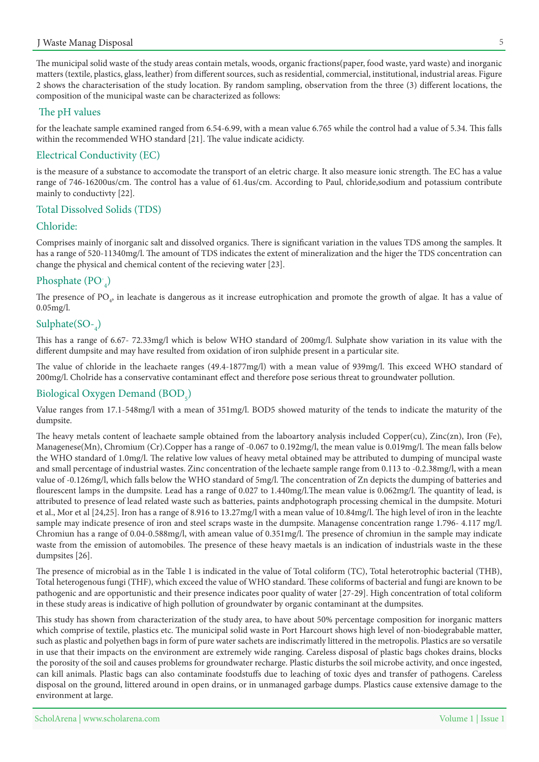The municipal solid waste of the study areas contain metals, woods, organic fractions (paper, food waste, yard waste) and inorganic matters (textile, plastics, glass, leather) from different sources, such as residential, commercial, institutional, industrial areas. Figure 2 shows the characterisation of the study location. By random sampling, observation from the three (3) different locations, the composition of the municipal waste can be characterized as follows:

#### The pH values

for the leachate sample examined ranged from 6.54-6.99, with a mean value 6.765 while the control had a value of 5.34. This falls within the recommended WHO standard [21]. The value indicate acidicty.

#### Electrical Conductivity (EC)

is the measure of a substance to accomodate the transport of an eletric charge. It also measure ionic strength. The EC has a value range of 746-16200us/cm. The control has a value of 61.4 us/cm. According to Paul, chloride, sodium and potassium contribute mainly to conductivty [22].

#### Total Dissolved Solids (TDS)

#### :Chloride

Comprises mainly of inorganic salt and dissolved organics. There is significant variation in the values TDS among the samples. It has a range of 520-11340 mg/l. The amount of TDS indicates the extent of mineralization and the higer the TDS concentration can change the physical and chemical content of the recieving water [23].

# Phosphate  $(PO_{4})$

The presence of PO<sub>4</sub>, in leachate is dangerous as it increase eutrophication and promote the growth of algae. It has a value of  $0.05$ mg/l.

# Sulphate $(SO_{\tau_4})$

This has a range of 6.67- 72.33 mg/l which is below WHO standard of 200 mg/l. Sulphate show variation in its value with the different dumpsite and may have resulted from oxidation of iron sulphide present in a particular site.

The value of chloride in the leachaete ranges (49.4-1877 mg/l) with a mean value of 939 mg/l. This exceed WHO standard of 200mg/l. Cholride has a conservative contaminant effect and therefore pose serious threat to groundwater pollution.

# Biological Oxygen Demand  $(BOD<sub>5</sub>)$

Value ranges from 17.1-548 mg/l with a mean of 351 mg/l. BOD5 showed maturity of the tends to indicate the maturity of the dumpsite.

The heavy metals content of leachaete sample obtained from the laboartory analysis included Copper(cu), Zinc(zn), Iron (Fe), Managenese(Mn), Chromium (Cr).Copper has a range of -0.067 to 0.192mg/l, the mean value is 0.019mg/l. The mean falls below the WHO standard of 1.0mg/l. The relative low values of heavy metal obtained may be attributed to dumping of muncipal waste and small percentage of industrial wastes. Zinc concentration of the lechaete sample range from 0.113 to -0.2.38 mg/l, with a mean value of -0.126 mg/l, which falls below the WHO standard of 5 mg/l. The concentration of Zn depicts the dumping of batteries and flourescent lamps in the dumpsite. Lead has a range of 0.027 to 1.440 mg/l. The mean value is 0.062 mg/l. The quantity of lead, is attributed to presence of lead related waste such as batteries, paints andphotograph processing chemical in the dumpsite. Moturi et al., Mor et al [24,25]. Iron has a range of 8.916 to 13.27 mg/l with a mean value of 10.84 mg/l. The high level of iron in the leachte sample may indicate presence of iron and steel scraps waste in the dumpsite. Managense concentration range 1.796- 4.117 mg/l. Chromiun has a range of 0.04-0.588 mg/l, with amean value of 0.351 mg/l. The presence of chromiun in the sample may indicate waste from the emission of automobiles. The presence of these heavy maetals is an indication of industrials waste in the these dumpsites [26].

The presence of microbial as in the Table 1 is indicated in the value of Total coliform (TC), Total heterotrophic bacterial (THB), Total heterogenous fungi (THF), which exceed the value of WHO standard. These coliforms of bacterial and fungi are known to be pathogenic and are opportunistic and their presence indicates poor quality of water [27-29]. High concentration of total coliform in these study areas is indicative of high pollution of groundwater by organic contaminant at the dumpsites.

This study has shown from characterization of the study area, to have about 50% percentage composition for inorganic matters which comprise of textile, plastics etc. The municipal solid waste in Port Harcourt shows high level of non-biodegrabable matter, such as plastic and polyethen bags in form of pure water sachets are indiscrimatly littered in the metropolis. Plastics are so versatile in use that their impacts on the environment are extremely wide ranging. Careless disposal of plastic bags chokes drains, blocks the porosity of the soil and causes problems for groundwater recharge. Plastic disturbs the soil microbe activity, and once ingested, can kill animals. Plastic bags can also contaminate foodstuffs due to leaching of toxic dyes and transfer of pathogens. Careless disposal on the ground, littered around in open drains, or in unmanaged garbage dumps. Plastics cause extensive damage to the environment at large.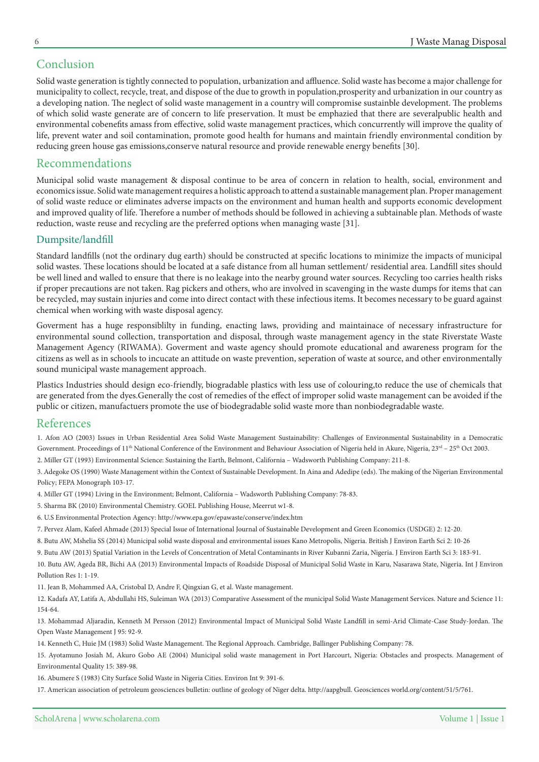# Conclusion

Solid waste generation is tightly connected to population, urbanization and affluence. Solid waste has become a major challenge for municipality to collect, recycle, treat, and dispose of the due to growth in population, prosperity and urbanization in our country as a developing nation. The neglect of solid waste management in a country will compromise sustainble development. The problems of which solid waste generate are of concern to life preservation. It must be emphazied that there are severalpublic health and environmental cobenefits amass from effective, solid waste management practices, which concurrently will improve the quality of life, prevent water and soil contamination, promote good health for humans and maintain friendly environmental condition by reducing green house gas emissions, conserve natural resource and provide renewable energy benefits [30].

### Recommendations

Municipal solid waste management & disposal continue to be area of concern in relation to health, social, environment and economics issue. Solid wate management requires a holistic approach to attend a sustainable management plan. Proper management of solid waste reduce or eliminates adverse impacts on the environment and human health and supports economic development and improved quality of life. Therefore a number of methods should be followed in achieving a subtainable plan. Methods of waste reduction, waste reuse and recycling are the preferred options when managing waste [31].

### Dumpsite/landfill

Standard landfills (not the ordinary dug earth) should be constructed at specific locations to minimize the impacts of municipal solid wastes. These locations should be located at a safe distance from all human settlement/ residential area. Landfill sites should be well lined and walled to ensure that there is no leakage into the nearby ground water sources. Recycling too carries health risks if proper precautions are not taken. Rag pickers and others, who are involved in scavenging in the waste dumps for items that can be recycled, may sustain injuries and come into direct contact with these infectious items. It becomes necessary to be guard against chemical when working with waste disposal agency.

Goverment has a huge responsiblilty in funding, enacting laws, providing and maintainace of necessary infrastructure for environmental sound collection, transportation and disposal, through waste management agency in the state Riverstate Waste Management Agency (RIWAMA). Goverment and waste agency should promote educational and awareness program for the citizens as well as in schools to incucate an attitude on waste prevention, seperation of waste at source, and other environmentally sound municipal waste management approach.

Plastics Industries should design eco-friendly, biogradable plastics with less use of colouring, to reduce the use of chemicals that are generated from the dyes. Generally the cost of remedies of the effect of improper solid waste management can be avoided if the public or citizen, manufactuers promote the use of biodegradable solid waste more than nonbiodegradable waste.

### References

1. Afon AO (2003) Issues in Urban Residential Area Solid Waste Management Sustainability: Challenges of Environmental Sustainability in a Democratic Government. Proceedings of 11<sup>th</sup> National Conference of the Environment and Behaviour Association of Nigeria held in Akure, Nigeria, 23<sup>rd</sup> - 25<sup>th</sup> Oct 2003.

2. Miller GT (1993) Environmental Science: Sustaining the Earth, Belmont, California - Wadsworth Publishing Company: 211-8.

3. Adegoke OS (1990) Waste Management within the Context of Sustainable Development. In Aina and Adedipe (eds). The making of the Nigerian Environmental Policy; FEPA Monograph 103-17.

4. Miller GT (1994) Living in the Environment; Belmont, California - Wadsworth Publishing Company: 78-83.

5. Sharma BK (2010) Environmental Chemistry. GOEL Publishing House, Meerrut w1-8.

6. U.S Environmental Protection Agency: http://www.epa.gov/epawaste/conserve/index.htm

7. Pervez Alam, Kafeel Ahmade (2013) Special Issue of International Journal of Sustainable Development and Green Economics (USDGE) 2: 12-20.

8. Butu AW, Mshelia SS (2014) Municipal solid waste disposal and environmental issues Kano Metropolis, Nigeria. British J Environ Earth Sci 2: 10-26

9. Butu AW (2013) Spatial Variation in the Levels of Concentration of Metal Contaminants in River Kubanni Zaria, Nigeria. J Environ Earth Sci 3: 183-91.

10. Butu AW, Ageda BR, Bichi AA (2013) Environmental Impacts of Roadside Disposal of Municipal Solid Waste in Karu, Nasarawa State, Nigeria. Int J Environ Pollution Res 1: 1-19.

11. Jean B, Mohammed AA, Cristobal D, Andre F, Qingxian G, et al. Waste management.

12. Kadafa AY, Latifa A, Abdullahi HS, Suleiman WA (2013) Comparative Assessment of the municipal Solid Waste Management Services. Nature and Science 11: 154-64.

13. Mohammad Aljaradin, Kenneth M Persson (2012) Environmental Impact of Municipal Solid Waste Landfill in semi-Arid Climate-Case Study-Jordan. The Open Waste Management J 95: 92-9.

14. Kenneth C, Huie JM (1983) Solid Waste Management. The Regional Approach. Cambridge, Ballinger Publishing Company: 78.

15. Ayotamuno Josiah M, Akuro Gobo AE (2004) Municipal solid waste management in Port Harcourt, Nigeria: Obstacles and prospects. Management of Environmental Quality 15: 389-98.

16. Abumere S (1983) City Surface Solid Waste in Nigeria Cities. Environ Int 9: 391-6.

17. American association of petroleum geosciences bulletin: outline of geology of Niger delta. http://aapgbull. Geosciences world.org/content/51/5/761.